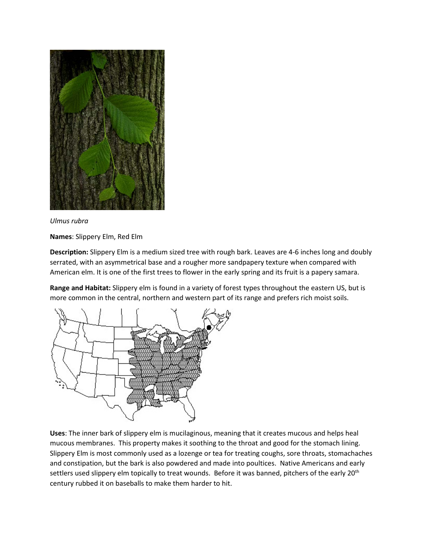

## *Ulmus rubra*

**Names**: Slippery Elm, Red Elm

**Description:** Slippery Elm is a medium sized tree with rough bark. Leaves are 4-6 inches long and doubly serrated, with an asymmetrical base and a rougher more sandpapery texture when compared with American elm. It is one of the first trees to flower in the early spring and its fruit is a papery samara.

**Range and Habitat:** Slippery elm is found in a variety of forest types throughout the eastern US, but is more common in the central, northern and western part of its range and prefers rich moist soils.



**Uses**: The inner bark of slippery elm is mucilaginous, meaning that it creates mucous and helps heal mucous membranes. This property makes it soothing to the throat and good for the stomach lining. Slippery Elm is most commonly used as a lozenge or tea for treating coughs, sore throats, stomachaches and constipation, but the bark is also powdered and made into poultices. Native Americans and early settlers used slippery elm topically to treat wounds. Before it was banned, pitchers of the early 20<sup>th</sup> century rubbed it on baseballs to make them harder to hit.